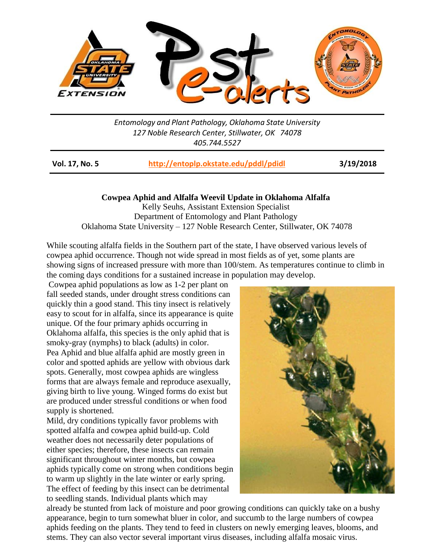

*Entomology and Plant Pathology, Oklahoma State University 127 Noble Research Center, Stillwater, OK 74078 405.744.5527*

**Vol. 17, No. 5 <http://entoplp.okstate.edu/pddl/pdidl> 3/19/2018**

**Cowpea Aphid and Alfalfa Weevil Update in Oklahoma Alfalfa**

Kelly Seuhs, Assistant Extension Specialist Department of Entomology and Plant Pathology Oklahoma State University – 127 Noble Research Center, Stillwater, OK 74078

While scouting alfalfa fields in the Southern part of the state, I have observed various levels of cowpea aphid occurrence. Though not wide spread in most fields as of yet, some plants are showing signs of increased pressure with more than 100/stem. As temperatures continue to climb in the coming days conditions for a sustained increase in population may develop.

Cowpea aphid populations as low as 1-2 per plant on fall seeded stands, under drought stress conditions can quickly thin a good stand. This tiny insect is relatively easy to scout for in alfalfa, since its appearance is quite unique. Of the four primary aphids occurring in Oklahoma alfalfa, this species is the only aphid that is smoky-gray (nymphs) to black (adults) in color. Pea Aphid and blue alfalfa aphid are mostly green in color and spotted aphids are yellow with obvious dark spots. Generally, most cowpea aphids are wingless forms that are always female and reproduce asexually, giving birth to live young. Winged forms do exist but are produced under stressful conditions or when food supply is shortened.

Mild, dry conditions typically favor problems with spotted alfalfa and cowpea aphid build-up. Cold weather does not necessarily deter populations of either species; therefore, these insects can remain significant throughout winter months, but cowpea aphids typically come on strong when conditions begin to warm up slightly in the late winter or early spring. The effect of feeding by this insect can be detrimental to seedling stands. Individual plants which may



already be stunted from lack of moisture and poor growing conditions can quickly take on a bushy appearance, begin to turn somewhat bluer in color, and succumb to the large numbers of cowpea aphids feeding on the plants. They tend to feed in clusters on newly emerging leaves, blooms, and stems. They can also vector several important virus diseases, including alfalfa mosaic virus.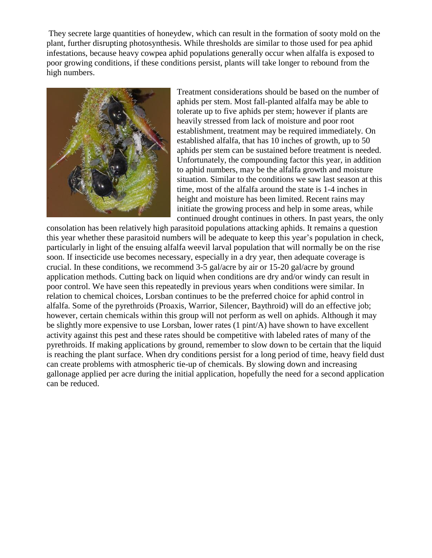They secrete large quantities of honeydew, which can result in the formation of sooty mold on the plant, further disrupting photosynthesis. While thresholds are similar to those used for pea aphid infestations, because heavy cowpea aphid populations generally occur when alfalfa is exposed to poor growing conditions, if these conditions persist, plants will take longer to rebound from the high numbers.



Treatment considerations should be based on the number of aphids per stem. Most fall-planted alfalfa may be able to tolerate up to five aphids per stem; however if plants are heavily stressed from lack of moisture and poor root establishment, treatment may be required immediately. On established alfalfa, that has 10 inches of growth, up to 50 aphids per stem can be sustained before treatment is needed. Unfortunately, the compounding factor this year, in addition to aphid numbers, may be the alfalfa growth and moisture situation. Similar to the conditions we saw last season at this time, most of the alfalfa around the state is 1-4 inches in height and moisture has been limited. Recent rains may initiate the growing process and help in some areas, while continued drought continues in others. In past years, the only

consolation has been relatively high parasitoid populations attacking aphids. It remains a question this year whether these parasitoid numbers will be adequate to keep this year's population in check, particularly in light of the ensuing alfalfa weevil larval population that will normally be on the rise soon. If insecticide use becomes necessary, especially in a dry year, then adequate coverage is crucial. In these conditions, we recommend 3-5 gal/acre by air or 15-20 gal/acre by ground application methods. Cutting back on liquid when conditions are dry and/or windy can result in poor control. We have seen this repeatedly in previous years when conditions were similar. In relation to chemical choices, Lorsban continues to be the preferred choice for aphid control in alfalfa. Some of the pyrethroids (Proaxis, Warrior, Silencer, Baythroid) will do an effective job; however, certain chemicals within this group will not perform as well on aphids. Although it may be slightly more expensive to use Lorsban, lower rates (1 pint/A) have shown to have excellent activity against this pest and these rates should be competitive with labeled rates of many of the pyrethroids. If making applications by ground, remember to slow down to be certain that the liquid is reaching the plant surface. When dry conditions persist for a long period of time, heavy field dust can create problems with atmospheric tie-up of chemicals. By slowing down and increasing gallonage applied per acre during the initial application, hopefully the need for a second application can be reduced.